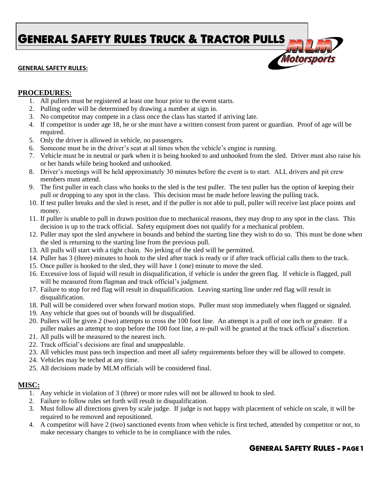**GENERAL SAFETY RULES TRUCK & TRACTOR PULLS** 

## **GENERAL SAFETY RULES:**



## **PROCEDURES:**

- 1. All pullers must be registered at least one hour prior to the event starts.
- 2. Pulling order will be determined by drawing a number at sign in.
- 3. No competitor may compete in a class once the class has started if arriving late.
- 4. If competitor is under age 18, he or she must have a written consent from parent or guardian. Proof of age will be required.
- 5. Only the driver is allowed in vehicle, no passengers.
- 6. Someone must be in the driver's seat at all times when the vehicle's engine is running.
- 7. Vehicle must be in neutral or park when it is being hooked to and unhooked from the sled. Driver must also raise his or her hands while being hooked and unhooked.
- 8. Driver's meetings will be held approximately 30 minutes before the event is to start. ALL drivers and pit crew members must attend.
- 9. The first puller in each class who hooks to the sled is the test puller. The test puller has the option of keeping their pull or dropping to any spot in the class. This decision must be made before leaving the pulling track.
- 10. If test puller breaks and the sled is reset, and if the puller is not able to pull, puller will receive last place points and money.
- 11. If puller is unable to pull in drawn position due to mechanical reasons, they may drop to any spot in the class. This decision is up to the track official. Safety equipment does not qualify for a mechanical problem.
- 12. Puller may spot the sled anywhere in bounds and behind the starting line they wish to do so. This must be done when the sled is returning to the starting line from the previous pull.
- 13. All pulls will start with a tight chain. No jerking of the sled will be permitted.
- 14. Puller has 3 (three) minutes to hook to the sled after track is ready or if after track official calls them to the track.
- 15. Once puller is hooked to the sled, they will have 1 (one) minute to move the sled.
- 16. Excessive loss of liquid will result in disqualification, if vehicle is under the green flag. If vehicle is flagged, pull will be measured from flagman and track official's judgment.
- 17. Failure to stop for red flag will result in disqualification. Leaving starting line under red flag will result in disqualification.
- 18. Pull will be considered over when forward motion stops. Puller must stop immediately when flagged or signaled.
- 19. Any vehicle that goes out of bounds will be disqualified.
- 20. Pullers will be given 2 (two) attempts to cross the 100 foot line. An attempt is a pull of one inch or greater. If a puller makes an attempt to stop before the 100 foot line, a re-pull will be granted at the track official's discretion.
- 21. All pulls will be measured to the nearest inch.
- 22. Track official's decisions are final and unappealable.
- 23. All vehicles must pass tech inspection and meet all safety requirements before they will be allowed to compete.
- 24. Vehicles may be teched at any time.
- 25. All decisions made by MLM officials will be considered final.

## **MISC:**

- 1. Any vehicle in violation of 3 (three) or more rules will not be allowed to hook to sled.
- 2. Failure to follow rules set forth will result in disqualification.
- 3. Must follow all directions given by scale judge. If judge is not happy with placement of vehicle on scale, it will be required to be removed and repositioned.
- 4. A competitor will have 2 (two) sanctioned events from when vehicle is first teched, attended by competitor or not, to make necessary changes to vehicle to be in compliance with the rules.